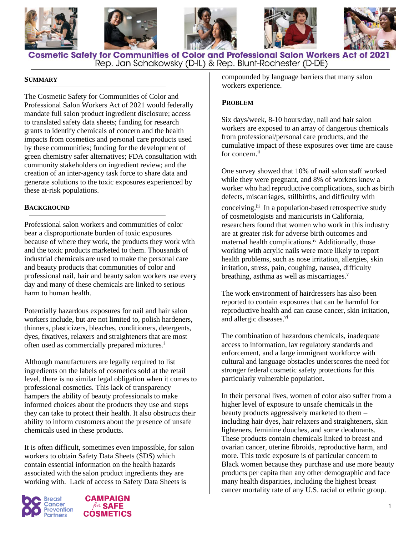







**Cosmetic Safety for Communities of Color and Professional Salon Workers Act of 2021** Rep. Jan Schakowsky (D-IL) & Rep. Blunt-Rochester (D-DE)

### **SUMMARY**

The Cosmetic Safety for Communities of Color and Professional Salon Workers Act of 2021 would federally mandate full salon product ingredient disclosure; access to translated safety data sheets; funding for research grants to identify chemicals of concern and the health impacts from cosmetics and personal care products used by these communities; funding for the development of green chemistry safer alternatives; FDA consultation with community stakeholders on ingredient review; and the creation of an inter-agency task force to share data and generate solutions to the toxic exposures experienced by these at-risk populations.

### **BACKGROUND**

Professional salon workers and communities of color bear a disproportionate burden of toxic exposures because of where they work, the products they work with and the toxic products marketed to them. Thousands of industrial chemicals are used to make the personal care and beauty products that communities of color and professional nail, hair and beauty salon workers use every day and many of these chemicals are linked to serious harm to human health.

Potentially hazardous exposures for nail and hair salon workers include, but are not limited to, polish hardeners, thinners, plasticizers, bleaches, conditioners, detergents, dyes, fixatives, relaxers and straighteners that are most often used as commercially prepared mixtures.<sup>i</sup>

Although manufacturers are legally required to list ingredients on the labels of cosmetics sold at the retail level, there is no similar legal obligation when it comes to professional cosmetics. This lack of transparency hampers the ability of beauty professionals to make informed choices about the products they use and steps they can take to protect their health. It also obstructs their ability to inform customers about the presence of unsafe chemicals used in these products.

It is often difficult, sometimes even impossible, for salon workers to obtain Safety Data Sheets (SDS) which contain essential information on the health hazards associated with the salon product ingredients they are working with. Lack of access to Safety Data Sheets is





compounded by language barriers that many salon workers experience.

### **PROBLEM**

Six days/week, 8-10 hours/day, nail and hair salon workers are exposed to an array of dangerous chemicals from professional/personal care products, and the cumulative impact of these exposures over time are cause for concern.<sup>ii</sup>

One survey showed that 10% of nail salon staff worked while they were pregnant, and 8% of workers knew a worker who had reproductive complications, such as birth defects, miscarriages, stillbirths, and difficulty with

conceiving.<sup>iii</sup> In a population-based retrospective study of cosmetologists and manicurists in California, researchers found that women who work in this industry are at greater risk for adverse birth outcomes and maternal health complications.iv Additionally, those working with acrylic nails were more likely to report health problems, such as nose irritation, allergies, skin irritation, stress, pain, coughing, nausea, difficulty breathing, asthma as well as miscarriages. $v$ 

The work environment of hairdressers has also been reported to contain exposures that can be harmful for reproductive health and can cause cancer, skin irritation, and allergic diseases.<sup>vi</sup>

The combination of hazardous chemicals, inadequate access to information, lax regulatory standards and enforcement, and a large immigrant workforce with cultural and language obstacles underscores the need for stronger federal cosmetic safety protections for this particularly vulnerable population.

In their personal lives, women of color also suffer from a higher level of exposure to unsafe chemicals in the beauty products aggressively marketed to them – including hair dyes, hair relaxers and straighteners, skin lighteners, feminine douches, and some deodorants. These products contain chemicals linked to breast and ovarian cancer, uterine fibroids, reproductive harm, and more. This toxic exposure is of particular concern to Black women because they purchase and use more beauty products per capita than any other demographic and face many health disparities, including the highest breast cancer mortality rate of any U.S. racial or ethnic group.